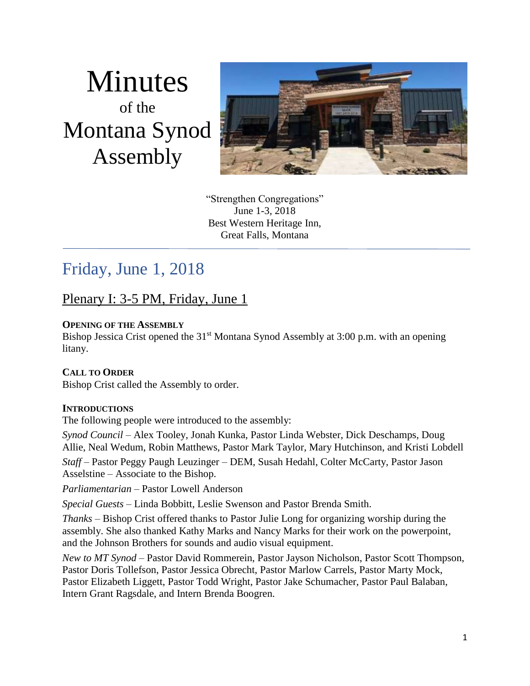# Minutes of the Montana Synod Assembly



"Strengthen Congregations" June 1-3, 2018 Best Western Heritage Inn, Great Falls, Montana

# Friday, June 1, 2018

# Plenary I: 3-5 PM, Friday, June 1

#### **OPENING OF THE ASSEMBLY**

Bishop Jessica Crist opened the 31<sup>st</sup> Montana Synod Assembly at 3:00 p.m. with an opening litany.

#### **CALL TO ORDER**

Bishop Crist called the Assembly to order.

#### **INTRODUCTIONS**

The following people were introduced to the assembly:

*Synod Council* – Alex Tooley, Jonah Kunka, Pastor Linda Webster, Dick Deschamps, Doug Allie, Neal Wedum, Robin Matthews, Pastor Mark Taylor, Mary Hutchinson, and Kristi Lobdell

*Staff* – Pastor Peggy Paugh Leuzinger – DEM, Susah Hedahl, Colter McCarty, Pastor Jason Asselstine – Associate to the Bishop.

*Parliamentarian* – Pastor Lowell Anderson

*Special Guests* – Linda Bobbitt, Leslie Swenson and Pastor Brenda Smith.

*Thanks* – Bishop Crist offered thanks to Pastor Julie Long for organizing worship during the assembly. She also thanked Kathy Marks and Nancy Marks for their work on the powerpoint, and the Johnson Brothers for sounds and audio visual equipment.

*New to MT Synod* – Pastor David Rommerein, Pastor Jayson Nicholson, Pastor Scott Thompson, Pastor Doris Tollefson, Pastor Jessica Obrecht, Pastor Marlow Carrels, Pastor Marty Mock, Pastor Elizabeth Liggett, Pastor Todd Wright, Pastor Jake Schumacher, Pastor Paul Balaban, Intern Grant Ragsdale, and Intern Brenda Boogren.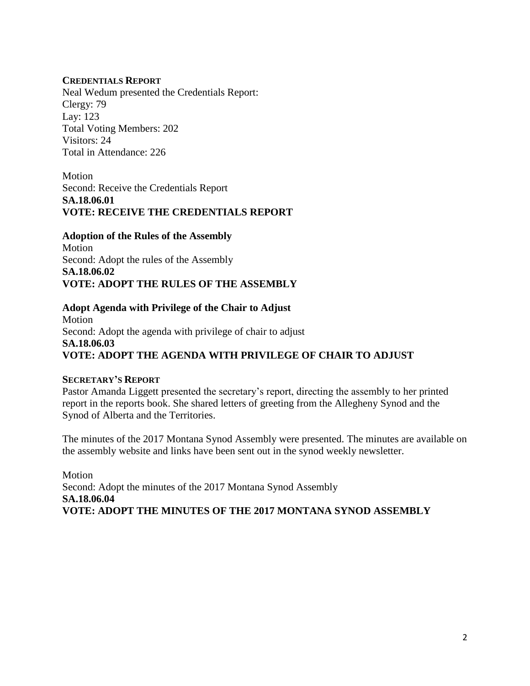#### **CREDENTIALS REPORT**

Neal Wedum presented the Credentials Report: Clergy: 79 Lay: 123 Total Voting Members: 202 Visitors: 24 Total in Attendance: 226

Motion Second: Receive the Credentials Report **SA.18.06.01 VOTE: RECEIVE THE CREDENTIALS REPORT**

**Adoption of the Rules of the Assembly**  Motion Second: Adopt the rules of the Assembly **SA.18.06.02 VOTE: ADOPT THE RULES OF THE ASSEMBLY**

**Adopt Agenda with Privilege of the Chair to Adjust** Motion Second: Adopt the agenda with privilege of chair to adjust **SA.18.06.03 VOTE: ADOPT THE AGENDA WITH PRIVILEGE OF CHAIR TO ADJUST**

#### **SECRETARY'S REPORT**

Pastor Amanda Liggett presented the secretary's report, directing the assembly to her printed report in the reports book. She shared letters of greeting from the Allegheny Synod and the Synod of Alberta and the Territories.

The minutes of the 2017 Montana Synod Assembly were presented. The minutes are available on the assembly website and links have been sent out in the synod weekly newsletter.

Motion Second: Adopt the minutes of the 2017 Montana Synod Assembly **SA.18.06.04 VOTE: ADOPT THE MINUTES OF THE 2017 MONTANA SYNOD ASSEMBLY**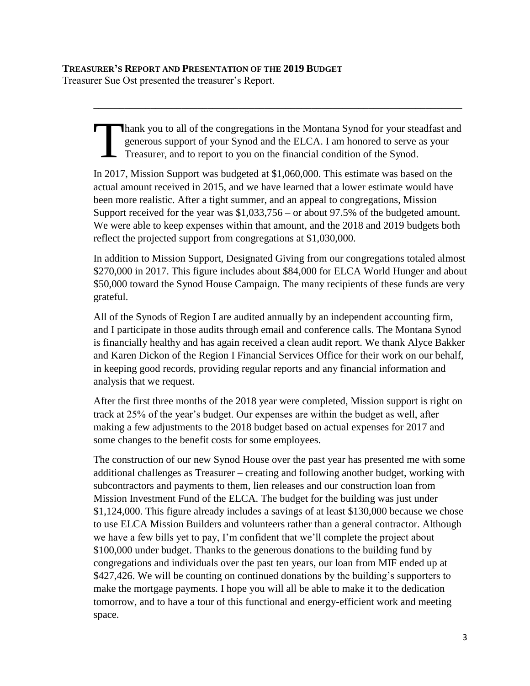hank you to all of the congregations in the Montana Synod for your steadfast and generous support of your Synod and the ELCA. I am honored to serve as your Treasurer, and to report to you on the financial condition of the Synod. T

\_\_\_\_\_\_\_\_\_\_\_\_\_\_\_\_\_\_\_\_\_\_\_\_\_\_\_\_\_\_\_\_\_\_\_\_\_\_\_\_\_\_\_\_\_\_\_\_\_\_\_\_\_\_\_\_\_\_\_\_\_\_\_\_\_\_\_\_\_\_\_

In 2017, Mission Support was budgeted at \$1,060,000. This estimate was based on the actual amount received in 2015, and we have learned that a lower estimate would have been more realistic. After a tight summer, and an appeal to congregations, Mission Support received for the year was \$1,033,756 – or about 97.5% of the budgeted amount. We were able to keep expenses within that amount, and the 2018 and 2019 budgets both reflect the projected support from congregations at \$1,030,000.

In addition to Mission Support, Designated Giving from our congregations totaled almost \$270,000 in 2017. This figure includes about \$84,000 for ELCA World Hunger and about \$50,000 toward the Synod House Campaign. The many recipients of these funds are very grateful.

All of the Synods of Region I are audited annually by an independent accounting firm, and I participate in those audits through email and conference calls. The Montana Synod is financially healthy and has again received a clean audit report. We thank Alyce Bakker and Karen Dickon of the Region I Financial Services Office for their work on our behalf, in keeping good records, providing regular reports and any financial information and analysis that we request.

After the first three months of the 2018 year were completed, Mission support is right on track at 25% of the year's budget. Our expenses are within the budget as well, after making a few adjustments to the 2018 budget based on actual expenses for 2017 and some changes to the benefit costs for some employees.

The construction of our new Synod House over the past year has presented me with some additional challenges as Treasurer – creating and following another budget, working with subcontractors and payments to them, lien releases and our construction loan from Mission Investment Fund of the ELCA. The budget for the building was just under \$1,124,000. This figure already includes a savings of at least \$130,000 because we chose to use ELCA Mission Builders and volunteers rather than a general contractor. Although we have a few bills yet to pay, I'm confident that we'll complete the project about \$100,000 under budget. Thanks to the generous donations to the building fund by congregations and individuals over the past ten years, our loan from MIF ended up at \$427,426. We will be counting on continued donations by the building's supporters to make the mortgage payments. I hope you will all be able to make it to the dedication tomorrow, and to have a tour of this functional and energy-efficient work and meeting space.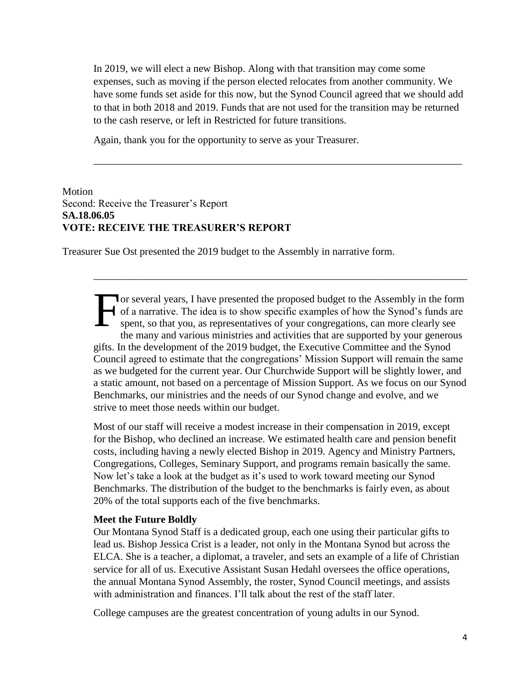In 2019, we will elect a new Bishop. Along with that transition may come some expenses, such as moving if the person elected relocates from another community. We have some funds set aside for this now, but the Synod Council agreed that we should add to that in both 2018 and 2019. Funds that are not used for the transition may be returned to the cash reserve, or left in Restricted for future transitions.

\_\_\_\_\_\_\_\_\_\_\_\_\_\_\_\_\_\_\_\_\_\_\_\_\_\_\_\_\_\_\_\_\_\_\_\_\_\_\_\_\_\_\_\_\_\_\_\_\_\_\_\_\_\_\_\_\_\_\_\_\_\_\_\_\_\_\_\_\_\_\_

Again, thank you for the opportunity to serve as your Treasurer.

#### Motion Second: Receive the Treasurer's Report **SA.18.06.05 VOTE: RECEIVE THE TREASURER'S REPORT**

Treasurer Sue Ost presented the 2019 budget to the Assembly in narrative form.

or several years, I have presented the proposed budget to the Assembly in the form of a narrative. The idea is to show specific examples of how the Synod's funds are spent, so that you, as representatives of your congregations, can more clearly see the many and various ministries and activities that are supported by your generous gifts. In the development of the 2019 budget, the Executive Committee and the Synod Council agreed to estimate that the congregations' Mission Support will remain the same as we budgeted for the current year. Our Churchwide Support will be slightly lower, and a static amount, not based on a percentage of Mission Support. As we focus on our Synod Benchmarks, our ministries and the needs of our Synod change and evolve, and we strive to meet those needs within our budget. F

\_\_\_\_\_\_\_\_\_\_\_\_\_\_\_\_\_\_\_\_\_\_\_\_\_\_\_\_\_\_\_\_\_\_\_\_\_\_\_\_\_\_\_\_\_\_\_\_\_\_\_\_\_\_\_\_\_\_\_\_\_\_\_\_\_\_\_\_\_\_\_\_

Most of our staff will receive a modest increase in their compensation in 2019, except for the Bishop, who declined an increase. We estimated health care and pension benefit costs, including having a newly elected Bishop in 2019. Agency and Ministry Partners, Congregations, Colleges, Seminary Support, and programs remain basically the same. Now let's take a look at the budget as it's used to work toward meeting our Synod Benchmarks. The distribution of the budget to the benchmarks is fairly even, as about 20% of the total supports each of the five benchmarks.

#### **Meet the Future Boldly**

Our Montana Synod Staff is a dedicated group, each one using their particular gifts to lead us. Bishop Jessica Crist is a leader, not only in the Montana Synod but across the ELCA. She is a teacher, a diplomat, a traveler, and sets an example of a life of Christian service for all of us. Executive Assistant Susan Hedahl oversees the office operations, the annual Montana Synod Assembly, the roster, Synod Council meetings, and assists with administration and finances. I'll talk about the rest of the staff later.

College campuses are the greatest concentration of young adults in our Synod.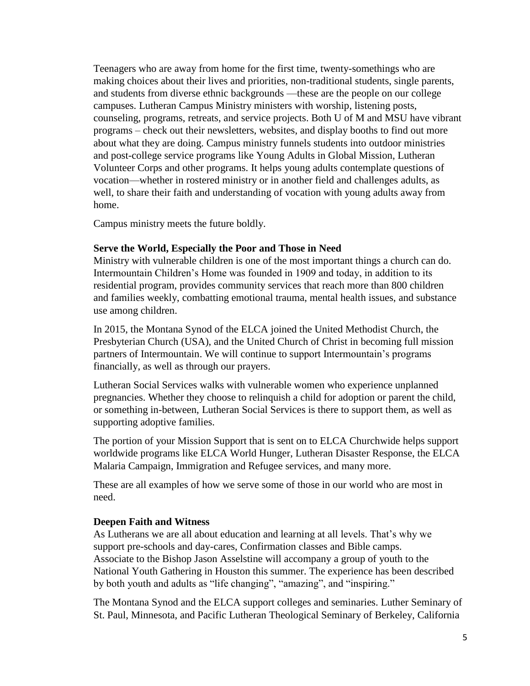Teenagers who are away from home for the first time, twenty-somethings who are making choices about their lives and priorities, non-traditional students, single parents, and students from diverse ethnic backgrounds —these are the people on our college campuses. Lutheran Campus Ministry ministers with worship, listening posts, counseling, programs, retreats, and service projects. Both U of M and MSU have vibrant programs – check out their newsletters, websites, and display booths to find out more about what they are doing. Campus ministry funnels students into outdoor ministries and post-college service programs like Young Adults in Global Mission, Lutheran Volunteer Corps and other programs. It helps young adults contemplate questions of vocation—whether in rostered ministry or in another field and challenges adults, as well, to share their faith and understanding of vocation with young adults away from home.

Campus ministry meets the future boldly.

#### **Serve the World, Especially the Poor and Those in Need**

Ministry with vulnerable children is one of the most important things a church can do. Intermountain Children's Home was founded in 1909 and today, in addition to its residential program, provides community services that reach more than 800 children and families weekly, combatting emotional trauma, mental health issues, and substance use among children.

In 2015, the Montana Synod of the ELCA joined the United Methodist Church, the Presbyterian Church (USA), and the United Church of Christ in becoming full mission partners of Intermountain. We will continue to support Intermountain's programs financially, as well as through our prayers.

Lutheran Social Services walks with vulnerable women who experience unplanned pregnancies. Whether they choose to relinquish a child for adoption or parent the child, or something in-between, Lutheran Social Services is there to support them, as well as supporting adoptive families.

The portion of your Mission Support that is sent on to ELCA Churchwide helps support worldwide programs like ELCA World Hunger, Lutheran Disaster Response, the ELCA Malaria Campaign, Immigration and Refugee services, and many more.

These are all examples of how we serve some of those in our world who are most in need.

#### **Deepen Faith and Witness**

As Lutherans we are all about education and learning at all levels. That's why we support pre-schools and day-cares, Confirmation classes and Bible camps. Associate to the Bishop Jason Asselstine will accompany a group of youth to the National Youth Gathering in Houston this summer. The experience has been described by both youth and adults as "life changing", "amazing", and "inspiring."

The Montana Synod and the ELCA support colleges and seminaries. Luther Seminary of St. Paul, Minnesota, and Pacific Lutheran Theological Seminary of Berkeley, California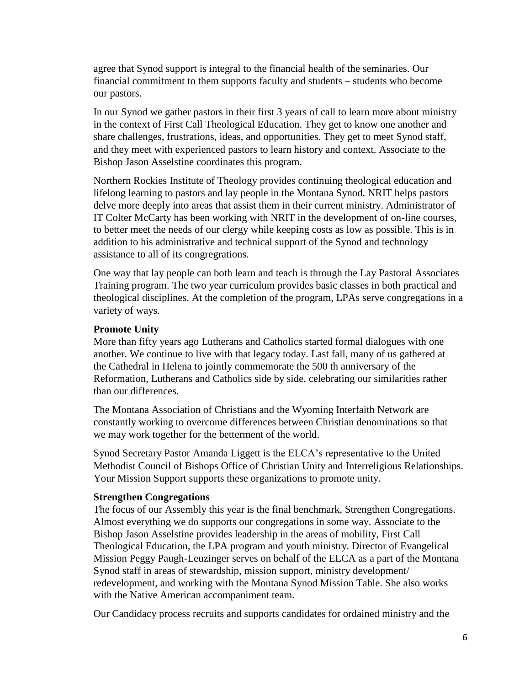agree that Synod support is integral to the financial health of the seminaries. Our financial commitment to them supports faculty and students – students who become our pastors.

In our Synod we gather pastors in their first 3 years of call to learn more about ministry in the context of First Call Theological Education. They get to know one another and share challenges, frustrations, ideas, and opportunities. They get to meet Synod staff, and they meet with experienced pastors to learn history and context. Associate to the Bishop Jason Asselstine coordinates this program.

Northern Rockies Institute of Theology provides continuing theological education and lifelong learning to pastors and lay people in the Montana Synod. NRIT helps pastors delve more deeply into areas that assist them in their current ministry. Administrator of IT Colter McCarty has been working with NRIT in the development of on-line courses, to better meet the needs of our clergy while keeping costs as low as possible. This is in addition to his administrative and technical support of the Synod and technology assistance to all of its congregrations.

One way that lay people can both learn and teach is through the Lay Pastoral Associates Training program. The two year curriculum provides basic classes in both practical and theological disciplines. At the completion of the program, LPAs serve congregations in a variety of ways.

#### **Promote Unity**

More than fifty years ago Lutherans and Catholics started formal dialogues with one another. We continue to live with that legacy today. Last fall, many of us gathered at the Cathedral in Helena to jointly commemorate the 500 th anniversary of the Reformation, Lutherans and Catholics side by side, celebrating our similarities rather than our differences.

The Montana Association of Christians and the Wyoming Interfaith Network are constantly working to overcome differences between Christian denominations so that we may work together for the betterment of the world.

Synod Secretary Pastor Amanda Liggett is the ELCA's representative to the United Methodist Council of Bishops Office of Christian Unity and Interreligious Relationships. Your Mission Support supports these organizations to promote unity.

#### **Strengthen Congregations**

The focus of our Assembly this year is the final benchmark, Strengthen Congregations. Almost everything we do supports our congregations in some way. Associate to the Bishop Jason Asselstine provides leadership in the areas of mobility, First Call Theological Education, the LPA program and youth ministry. Director of Evangelical Mission Peggy Paugh-Leuzinger serves on behalf of the ELCA as a part of the Montana Synod staff in areas of stewardship, mission support, ministry development/ redevelopment, and working with the Montana Synod Mission Table. She also works with the Native American accompaniment team.

Our Candidacy process recruits and supports candidates for ordained ministry and the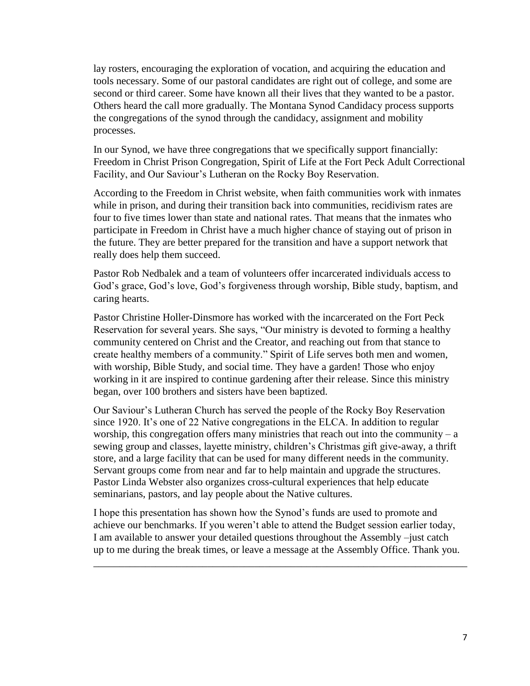lay rosters, encouraging the exploration of vocation, and acquiring the education and tools necessary. Some of our pastoral candidates are right out of college, and some are second or third career. Some have known all their lives that they wanted to be a pastor. Others heard the call more gradually. The Montana Synod Candidacy process supports the congregations of the synod through the candidacy, assignment and mobility processes.

In our Synod, we have three congregations that we specifically support financially: Freedom in Christ Prison Congregation, Spirit of Life at the Fort Peck Adult Correctional Facility, and Our Saviour's Lutheran on the Rocky Boy Reservation.

According to the Freedom in Christ website, when faith communities work with inmates while in prison, and during their transition back into communities, recidivism rates are four to five times lower than state and national rates. That means that the inmates who participate in Freedom in Christ have a much higher chance of staying out of prison in the future. They are better prepared for the transition and have a support network that really does help them succeed.

Pastor Rob Nedbalek and a team of volunteers offer incarcerated individuals access to God's grace, God's love, God's forgiveness through worship, Bible study, baptism, and caring hearts.

Pastor Christine Holler-Dinsmore has worked with the incarcerated on the Fort Peck Reservation for several years. She says, "Our ministry is devoted to forming a healthy community centered on Christ and the Creator, and reaching out from that stance to create healthy members of a community." Spirit of Life serves both men and women, with worship, Bible Study, and social time. They have a garden! Those who enjoy working in it are inspired to continue gardening after their release. Since this ministry began, over 100 brothers and sisters have been baptized.

Our Saviour's Lutheran Church has served the people of the Rocky Boy Reservation since 1920. It's one of 22 Native congregations in the ELCA. In addition to regular worship, this congregation offers many ministries that reach out into the community  $- a$ sewing group and classes, layette ministry, children's Christmas gift give-away, a thrift store, and a large facility that can be used for many different needs in the community. Servant groups come from near and far to help maintain and upgrade the structures. Pastor Linda Webster also organizes cross-cultural experiences that help educate seminarians, pastors, and lay people about the Native cultures.

I hope this presentation has shown how the Synod's funds are used to promote and achieve our benchmarks. If you weren't able to attend the Budget session earlier today, I am available to answer your detailed questions throughout the Assembly –just catch up to me during the break times, or leave a message at the Assembly Office. Thank you.

\_\_\_\_\_\_\_\_\_\_\_\_\_\_\_\_\_\_\_\_\_\_\_\_\_\_\_\_\_\_\_\_\_\_\_\_\_\_\_\_\_\_\_\_\_\_\_\_\_\_\_\_\_\_\_\_\_\_\_\_\_\_\_\_\_\_\_\_\_\_\_\_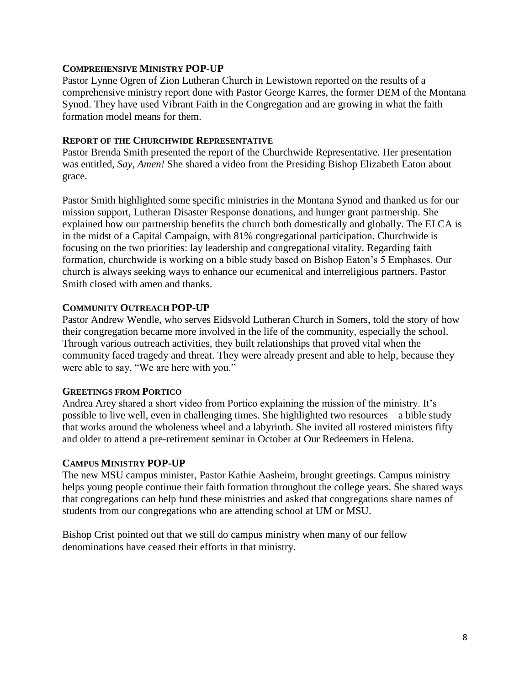#### **COMPREHENSIVE MINISTRY POP-UP**

Pastor Lynne Ogren of Zion Lutheran Church in Lewistown reported on the results of a comprehensive ministry report done with Pastor George Karres, the former DEM of the Montana Synod. They have used Vibrant Faith in the Congregation and are growing in what the faith formation model means for them.

#### **REPORT OF THE CHURCHWIDE REPRESENTATIVE**

Pastor Brenda Smith presented the report of the Churchwide Representative. Her presentation was entitled, *Say, Amen!* She shared a video from the Presiding Bishop Elizabeth Eaton about grace.

Pastor Smith highlighted some specific ministries in the Montana Synod and thanked us for our mission support, Lutheran Disaster Response donations, and hunger grant partnership. She explained how our partnership benefits the church both domestically and globally. The ELCA is in the midst of a Capital Campaign, with 81% congregational participation. Churchwide is focusing on the two priorities: lay leadership and congregational vitality. Regarding faith formation, churchwide is working on a bible study based on Bishop Eaton's 5 Emphases. Our church is always seeking ways to enhance our ecumenical and interreligious partners. Pastor Smith closed with amen and thanks.

#### **COMMUNITY OUTREACH POP-UP**

Pastor Andrew Wendle, who serves Eidsvold Lutheran Church in Somers, told the story of how their congregation became more involved in the life of the community, especially the school. Through various outreach activities, they built relationships that proved vital when the community faced tragedy and threat. They were already present and able to help, because they were able to say, "We are here with you."

#### **GREETINGS FROM PORTICO**

Andrea Arey shared a short video from Portico explaining the mission of the ministry. It's possible to live well, even in challenging times. She highlighted two resources – a bible study that works around the wholeness wheel and a labyrinth. She invited all rostered ministers fifty and older to attend a pre-retirement seminar in October at Our Redeemers in Helena.

#### **CAMPUS MINISTRY POP-UP**

The new MSU campus minister, Pastor Kathie Aasheim, brought greetings. Campus ministry helps young people continue their faith formation throughout the college years. She shared ways that congregations can help fund these ministries and asked that congregations share names of students from our congregations who are attending school at UM or MSU.

Bishop Crist pointed out that we still do campus ministry when many of our fellow denominations have ceased their efforts in that ministry.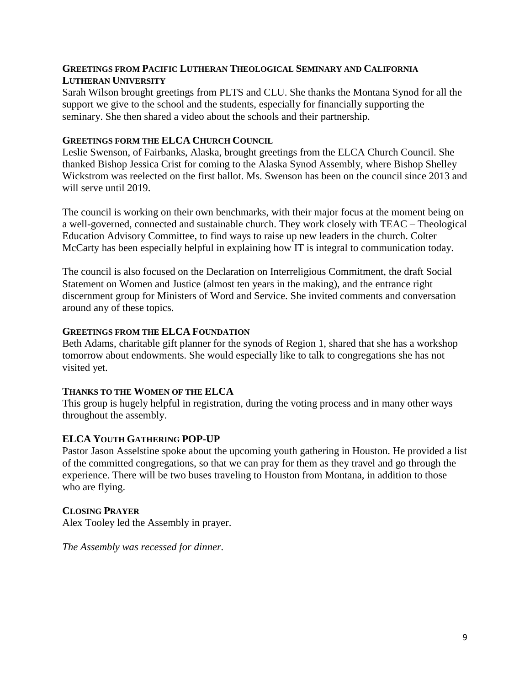#### **GREETINGS FROM PACIFIC LUTHERAN THEOLOGICAL SEMINARY AND CALIFORNIA LUTHERAN UNIVERSITY**

Sarah Wilson brought greetings from PLTS and CLU. She thanks the Montana Synod for all the support we give to the school and the students, especially for financially supporting the seminary. She then shared a video about the schools and their partnership.

#### **GREETINGS FORM THE ELCA CHURCH COUNCIL**

Leslie Swenson, of Fairbanks, Alaska, brought greetings from the ELCA Church Council. She thanked Bishop Jessica Crist for coming to the Alaska Synod Assembly, where Bishop Shelley Wickstrom was reelected on the first ballot. Ms. Swenson has been on the council since 2013 and will serve until 2019.

The council is working on their own benchmarks, with their major focus at the moment being on a well-governed, connected and sustainable church. They work closely with TEAC – Theological Education Advisory Committee, to find ways to raise up new leaders in the church. Colter McCarty has been especially helpful in explaining how IT is integral to communication today.

The council is also focused on the Declaration on Interreligious Commitment, the draft Social Statement on Women and Justice (almost ten years in the making), and the entrance right discernment group for Ministers of Word and Service. She invited comments and conversation around any of these topics.

#### **GREETINGS FROM THE ELCA FOUNDATION**

Beth Adams, charitable gift planner for the synods of Region 1, shared that she has a workshop tomorrow about endowments. She would especially like to talk to congregations she has not visited yet.

#### **THANKS TO THE WOMEN OF THE ELCA**

This group is hugely helpful in registration, during the voting process and in many other ways throughout the assembly.

#### **ELCA YOUTH GATHERING POP-UP**

Pastor Jason Asselstine spoke about the upcoming youth gathering in Houston. He provided a list of the committed congregations, so that we can pray for them as they travel and go through the experience. There will be two buses traveling to Houston from Montana, in addition to those who are flying.

#### **CLOSING PRAYER**

Alex Tooley led the Assembly in prayer.

*The Assembly was recessed for dinner.*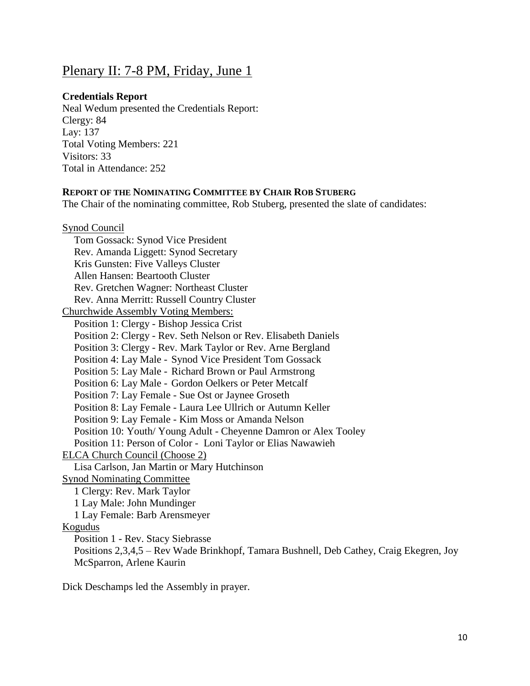### Plenary II: 7-8 PM, Friday, June 1

#### **Credentials Report**

Neal Wedum presented the Credentials Report: Clergy: 84 Lay: 137 Total Voting Members: 221 Visitors: 33 Total in Attendance: 252

#### **REPORT OF THE NOMINATING COMMITTEE BY CHAIR ROB STUBERG**

The Chair of the nominating committee, Rob Stuberg, presented the slate of candidates:

| Synod Council                                                                           |
|-----------------------------------------------------------------------------------------|
| Tom Gossack: Synod Vice President                                                       |
| Rev. Amanda Liggett: Synod Secretary                                                    |
| Kris Gunsten: Five Valleys Cluster                                                      |
| Allen Hansen: Beartooth Cluster                                                         |
| Rev. Gretchen Wagner: Northeast Cluster                                                 |
| Rev. Anna Merritt: Russell Country Cluster                                              |
| <b>Churchwide Assembly Voting Members:</b>                                              |
| Position 1: Clergy - Bishop Jessica Crist                                               |
| Position 2: Clergy - Rev. Seth Nelson or Rev. Elisabeth Daniels                         |
| Position 3: Clergy - Rev. Mark Taylor or Rev. Arne Bergland                             |
| Position 4: Lay Male - Synod Vice President Tom Gossack                                 |
| Position 5: Lay Male - Richard Brown or Paul Armstrong                                  |
| Position 6: Lay Male - Gordon Oelkers or Peter Metcalf                                  |
| Position 7: Lay Female - Sue Ost or Jaynee Groseth                                      |
| Position 8: Lay Female - Laura Lee Ullrich or Autumn Keller                             |
| Position 9: Lay Female - Kim Moss or Amanda Nelson                                      |
| Position 10: Youth/ Young Adult - Cheyenne Damron or Alex Tooley                        |
| Position 11: Person of Color - Loni Taylor or Elias Nawawieh                            |
| <b>ELCA Church Council (Choose 2)</b>                                                   |
| Lisa Carlson, Jan Martin or Mary Hutchinson                                             |
| <b>Synod Nominating Committee</b>                                                       |
| 1 Clergy: Rev. Mark Taylor                                                              |
| 1 Lay Male: John Mundinger                                                              |
| 1 Lay Female: Barb Arensmeyer                                                           |
| <b>Kogudus</b>                                                                          |
| Position 1 - Rev. Stacy Siebrasse                                                       |
| Positions 2,3,4,5 – Rev Wade Brinkhopf, Tamara Bushnell, Deb Cathey, Craig Ekegren, Joy |
| McSparron, Arlene Kaurin                                                                |

Dick Deschamps led the Assembly in prayer.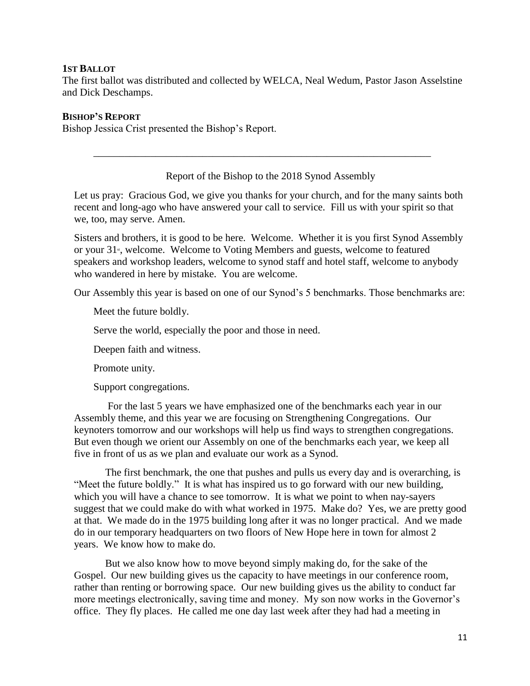#### **1ST BALLOT**

The first ballot was distributed and collected by WELCA, Neal Wedum, Pastor Jason Asselstine and Dick Deschamps.

\_\_\_\_\_\_\_\_\_\_\_\_\_\_\_\_\_\_\_\_\_\_\_\_\_\_\_\_\_\_\_\_\_\_\_\_\_\_\_\_\_\_\_\_\_\_\_\_\_\_\_\_\_\_\_\_\_\_\_\_\_\_\_\_\_

#### **BISHOP'S REPORT**

Bishop Jessica Crist presented the Bishop's Report.

Report of the Bishop to the 2018 Synod Assembly

Let us pray: Gracious God, we give you thanks for your church, and for the many saints both recent and long-ago who have answered your call to service. Fill us with your spirit so that we, too, may serve. Amen.

Sisters and brothers, it is good to be here. Welcome. Whether it is you first Synod Assembly or your  $31<sup>s</sup>$ , welcome. Welcome to Voting Members and guests, welcome to featured speakers and workshop leaders, welcome to synod staff and hotel staff, welcome to anybody who wandered in here by mistake. You are welcome.

Our Assembly this year is based on one of our Synod's 5 benchmarks. Those benchmarks are:

Meet the future boldly.

Serve the world, especially the poor and those in need.

Deepen faith and witness.

Promote unity.

Support congregations.

For the last 5 years we have emphasized one of the benchmarks each year in our Assembly theme, and this year we are focusing on Strengthening Congregations. Our keynoters tomorrow and our workshops will help us find ways to strengthen congregations. But even though we orient our Assembly on one of the benchmarks each year, we keep all five in front of us as we plan and evaluate our work as a Synod.

The first benchmark, the one that pushes and pulls us every day and is overarching, is "Meet the future boldly." It is what has inspired us to go forward with our new building, which you will have a chance to see tomorrow. It is what we point to when nay-sayers suggest that we could make do with what worked in 1975. Make do? Yes, we are pretty good at that. We made do in the 1975 building long after it was no longer practical. And we made do in our temporary headquarters on two floors of New Hope here in town for almost 2 years. We know how to make do.

But we also know how to move beyond simply making do, for the sake of the Gospel. Our new building gives us the capacity to have meetings in our conference room, rather than renting or borrowing space. Our new building gives us the ability to conduct far more meetings electronically, saving time and money. My son now works in the Governor's office. They fly places. He called me one day last week after they had had a meeting in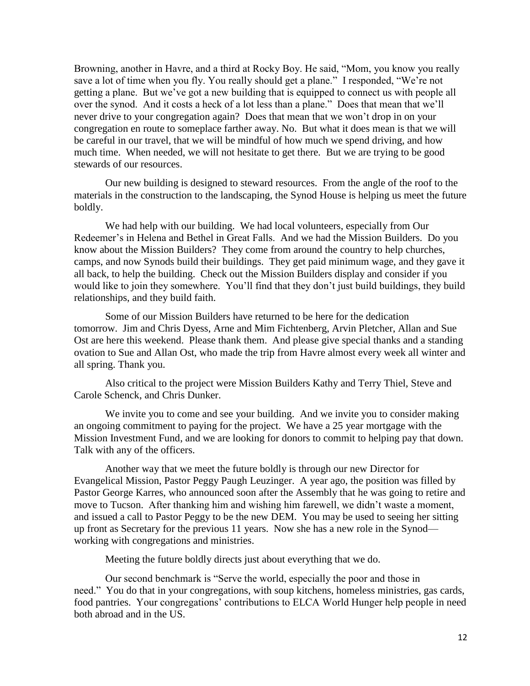Browning, another in Havre, and a third at Rocky Boy. He said, "Mom, you know you really save a lot of time when you fly. You really should get a plane." I responded, "We're not getting a plane. But we've got a new building that is equipped to connect us with people all over the synod. And it costs a heck of a lot less than a plane." Does that mean that we'll never drive to your congregation again? Does that mean that we won't drop in on your congregation en route to someplace farther away. No. But what it does mean is that we will be careful in our travel, that we will be mindful of how much we spend driving, and how much time. When needed, we will not hesitate to get there. But we are trying to be good stewards of our resources.

Our new building is designed to steward resources. From the angle of the roof to the materials in the construction to the landscaping, the Synod House is helping us meet the future boldly.

We had help with our building. We had local volunteers, especially from Our Redeemer's in Helena and Bethel in Great Falls. And we had the Mission Builders. Do you know about the Mission Builders? They come from around the country to help churches, camps, and now Synods build their buildings. They get paid minimum wage, and they gave it all back, to help the building. Check out the Mission Builders display and consider if you would like to join they somewhere. You'll find that they don't just build buildings, they build relationships, and they build faith.

Some of our Mission Builders have returned to be here for the dedication tomorrow. Jim and Chris Dyess, Arne and Mim Fichtenberg, Arvin Pletcher, Allan and Sue Ost are here this weekend. Please thank them. And please give special thanks and a standing ovation to Sue and Allan Ost, who made the trip from Havre almost every week all winter and all spring. Thank you.

Also critical to the project were Mission Builders Kathy and Terry Thiel, Steve and Carole Schenck, and Chris Dunker.

We invite you to come and see your building. And we invite you to consider making an ongoing commitment to paying for the project. We have a 25 year mortgage with the Mission Investment Fund, and we are looking for donors to commit to helping pay that down. Talk with any of the officers.

Another way that we meet the future boldly is through our new Director for Evangelical Mission, Pastor Peggy Paugh Leuzinger. A year ago, the position was filled by Pastor George Karres, who announced soon after the Assembly that he was going to retire and move to Tucson. After thanking him and wishing him farewell, we didn't waste a moment, and issued a call to Pastor Peggy to be the new DEM. You may be used to seeing her sitting up front as Secretary for the previous 11 years. Now she has a new role in the Synod working with congregations and ministries.

Meeting the future boldly directs just about everything that we do.

Our second benchmark is "Serve the world, especially the poor and those in need." You do that in your congregations, with soup kitchens, homeless ministries, gas cards, food pantries. Your congregations' contributions to ELCA World Hunger help people in need both abroad and in the US.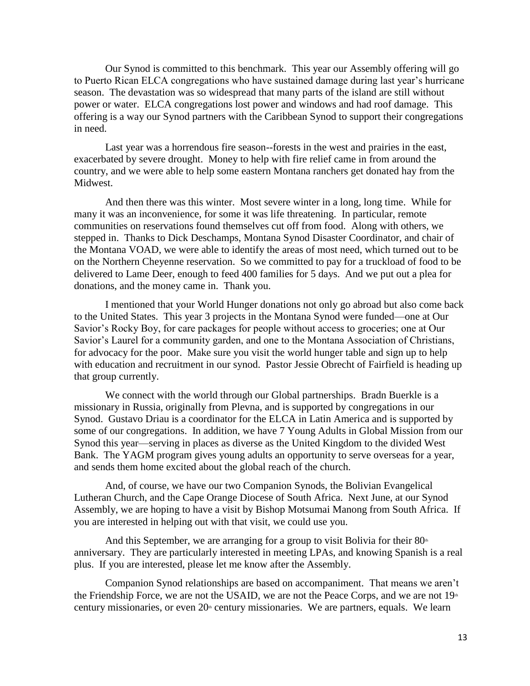Our Synod is committed to this benchmark. This year our Assembly offering will go to Puerto Rican ELCA congregations who have sustained damage during last year's hurricane season. The devastation was so widespread that many parts of the island are still without power or water. ELCA congregations lost power and windows and had roof damage. This offering is a way our Synod partners with the Caribbean Synod to support their congregations in need.

Last year was a horrendous fire season--forests in the west and prairies in the east, exacerbated by severe drought. Money to help with fire relief came in from around the country, and we were able to help some eastern Montana ranchers get donated hay from the Midwest.

And then there was this winter. Most severe winter in a long, long time. While for many it was an inconvenience, for some it was life threatening. In particular, remote communities on reservations found themselves cut off from food. Along with others, we stepped in. Thanks to Dick Deschamps, Montana Synod Disaster Coordinator, and chair of the Montana VOAD, we were able to identify the areas of most need, which turned out to be on the Northern Cheyenne reservation. So we committed to pay for a truckload of food to be delivered to Lame Deer, enough to feed 400 families for 5 days. And we put out a plea for donations, and the money came in. Thank you.

I mentioned that your World Hunger donations not only go abroad but also come back to the United States. This year 3 projects in the Montana Synod were funded—one at Our Savior's Rocky Boy, for care packages for people without access to groceries; one at Our Savior's Laurel for a community garden, and one to the Montana Association of Christians, for advocacy for the poor. Make sure you visit the world hunger table and sign up to help with education and recruitment in our synod. Pastor Jessie Obrecht of Fairfield is heading up that group currently.

We connect with the world through our Global partnerships. Bradn Buerkle is a missionary in Russia, originally from Plevna, and is supported by congregations in our Synod. Gustavo Driau is a coordinator for the ELCA in Latin America and is supported by some of our congregations. In addition, we have 7 Young Adults in Global Mission from our Synod this year—serving in places as diverse as the United Kingdom to the divided West Bank. The YAGM program gives young adults an opportunity to serve overseas for a year, and sends them home excited about the global reach of the church.

And, of course, we have our two Companion Synods, the Bolivian Evangelical Lutheran Church, and the Cape Orange Diocese of South Africa. Next June, at our Synod Assembly, we are hoping to have a visit by Bishop Motsumai Manong from South Africa. If you are interested in helping out with that visit, we could use you.

And this September, we are arranging for a group to visit Bolivia for their  $80<sup>th</sup>$ anniversary. They are particularly interested in meeting LPAs, and knowing Spanish is a real plus. If you are interested, please let me know after the Assembly.

Companion Synod relationships are based on accompaniment. That means we aren't the Friendship Force, we are not the USAID, we are not the Peace Corps, and we are not  $19<sup>th</sup>$ century missionaries, or even  $20<sup>th</sup>$  century missionaries. We are partners, equals. We learn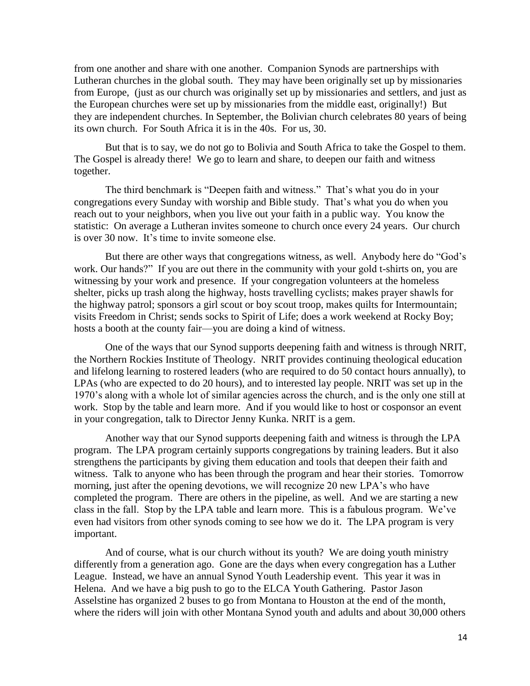from one another and share with one another. Companion Synods are partnerships with Lutheran churches in the global south. They may have been originally set up by missionaries from Europe, (just as our church was originally set up by missionaries and settlers, and just as the European churches were set up by missionaries from the middle east, originally!) But they are independent churches. In September, the Bolivian church celebrates 80 years of being its own church. For South Africa it is in the 40s. For us, 30.

But that is to say, we do not go to Bolivia and South Africa to take the Gospel to them. The Gospel is already there! We go to learn and share, to deepen our faith and witness together.

The third benchmark is "Deepen faith and witness." That's what you do in your congregations every Sunday with worship and Bible study. That's what you do when you reach out to your neighbors, when you live out your faith in a public way. You know the statistic: On average a Lutheran invites someone to church once every 24 years. Our church is over 30 now. It's time to invite someone else.

But there are other ways that congregations witness, as well. Anybody here do "God's work. Our hands?" If you are out there in the community with your gold t-shirts on, you are witnessing by your work and presence. If your congregation volunteers at the homeless shelter, picks up trash along the highway, hosts travelling cyclists; makes prayer shawls for the highway patrol; sponsors a girl scout or boy scout troop, makes quilts for Intermountain; visits Freedom in Christ; sends socks to Spirit of Life; does a work weekend at Rocky Boy; hosts a booth at the county fair—you are doing a kind of witness.

One of the ways that our Synod supports deepening faith and witness is through NRIT, the Northern Rockies Institute of Theology. NRIT provides continuing theological education and lifelong learning to rostered leaders (who are required to do 50 contact hours annually), to LPAs (who are expected to do 20 hours), and to interested lay people. NRIT was set up in the 1970's along with a whole lot of similar agencies across the church, and is the only one still at work. Stop by the table and learn more. And if you would like to host or cosponsor an event in your congregation, talk to Director Jenny Kunka. NRIT is a gem.

Another way that our Synod supports deepening faith and witness is through the LPA program. The LPA program certainly supports congregations by training leaders. But it also strengthens the participants by giving them education and tools that deepen their faith and witness. Talk to anyone who has been through the program and hear their stories. Tomorrow morning, just after the opening devotions, we will recognize 20 new LPA's who have completed the program. There are others in the pipeline, as well. And we are starting a new class in the fall. Stop by the LPA table and learn more. This is a fabulous program. We've even had visitors from other synods coming to see how we do it. The LPA program is very important.

And of course, what is our church without its youth? We are doing youth ministry differently from a generation ago. Gone are the days when every congregation has a Luther League. Instead, we have an annual Synod Youth Leadership event. This year it was in Helena. And we have a big push to go to the ELCA Youth Gathering. Pastor Jason Asselstine has organized 2 buses to go from Montana to Houston at the end of the month, where the riders will join with other Montana Synod youth and adults and about 30,000 others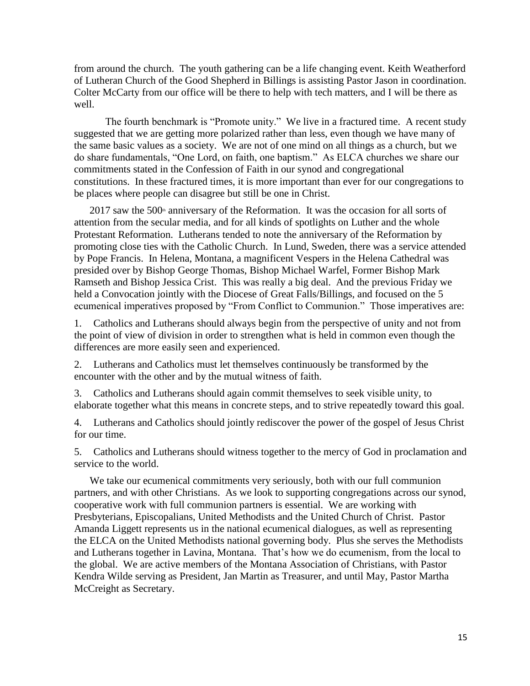from around the church. The youth gathering can be a life changing event. Keith Weatherford of Lutheran Church of the Good Shepherd in Billings is assisting Pastor Jason in coordination. Colter McCarty from our office will be there to help with tech matters, and I will be there as well.

The fourth benchmark is "Promote unity." We live in a fractured time. A recent study suggested that we are getting more polarized rather than less, even though we have many of the same basic values as a society. We are not of one mind on all things as a church, but we do share fundamentals, "One Lord, on faith, one baptism." As ELCA churches we share our commitments stated in the Confession of Faith in our synod and congregational constitutions. In these fractured times, it is more important than ever for our congregations to be places where people can disagree but still be one in Christ.

 $2017$  saw the  $500<sup>th</sup>$  anniversary of the Reformation. It was the occasion for all sorts of attention from the secular media, and for all kinds of spotlights on Luther and the whole Protestant Reformation. Lutherans tended to note the anniversary of the Reformation by promoting close ties with the Catholic Church. In Lund, Sweden, there was a service attended by Pope Francis. In Helena, Montana, a magnificent Vespers in the Helena Cathedral was presided over by Bishop George Thomas, Bishop Michael Warfel, Former Bishop Mark Ramseth and Bishop Jessica Crist. This was really a big deal. And the previous Friday we held a Convocation jointly with the Diocese of Great Falls/Billings, and focused on the 5 ecumenical imperatives proposed by "From Conflict to Communion." Those imperatives are:

1. Catholics and Lutherans should always begin from the perspective of unity and not from the point of view of division in order to strengthen what is held in common even though the differences are more easily seen and experienced.

2. Lutherans and Catholics must let themselves continuously be transformed by the encounter with the other and by the mutual witness of faith.

3. Catholics and Lutherans should again commit themselves to seek visible unity, to elaborate together what this means in concrete steps, and to strive repeatedly toward this goal.

4. Lutherans and Catholics should jointly rediscover the power of the gospel of Jesus Christ for our time.

5. Catholics and Lutherans should witness together to the mercy of God in proclamation and service to the world.

We take our ecumenical commitments very seriously, both with our full communion partners, and with other Christians. As we look to supporting congregations across our synod, cooperative work with full communion partners is essential. We are working with Presbyterians, Episcopalians, United Methodists and the United Church of Christ. Pastor Amanda Liggett represents us in the national ecumenical dialogues, as well as representing the ELCA on the United Methodists national governing body. Plus she serves the Methodists and Lutherans together in Lavina, Montana. That's how we do ecumenism, from the local to the global. We are active members of the Montana Association of Christians, with Pastor Kendra Wilde serving as President, Jan Martin as Treasurer, and until May, Pastor Martha McCreight as Secretary.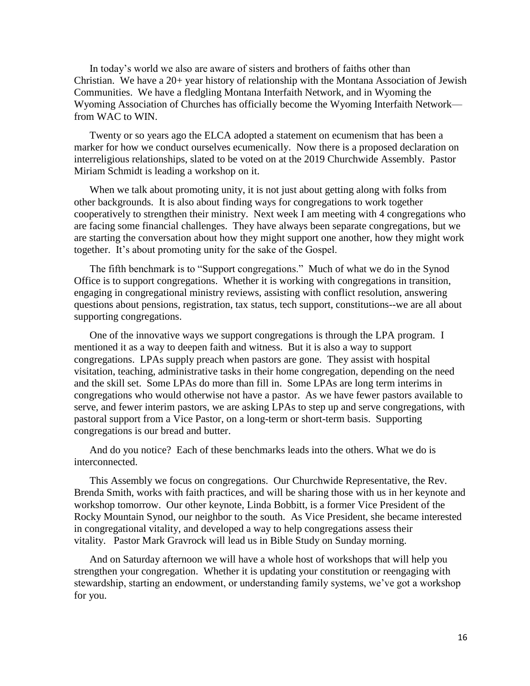In today's world we also are aware of sisters and brothers of faiths other than Christian. We have a 20+ year history of relationship with the Montana Association of Jewish Communities. We have a fledgling Montana Interfaith Network, and in Wyoming the Wyoming Association of Churches has officially become the Wyoming Interfaith Network from WAC to WIN.

Twenty or so years ago the ELCA adopted a statement on ecumenism that has been a marker for how we conduct ourselves ecumenically. Now there is a proposed declaration on interreligious relationships, slated to be voted on at the 2019 Churchwide Assembly. Pastor Miriam Schmidt is leading a workshop on it.

When we talk about promoting unity, it is not just about getting along with folks from other backgrounds. It is also about finding ways for congregations to work together cooperatively to strengthen their ministry. Next week I am meeting with 4 congregations who are facing some financial challenges. They have always been separate congregations, but we are starting the conversation about how they might support one another, how they might work together. It's about promoting unity for the sake of the Gospel.

The fifth benchmark is to "Support congregations." Much of what we do in the Synod Office is to support congregations. Whether it is working with congregations in transition, engaging in congregational ministry reviews, assisting with conflict resolution, answering questions about pensions, registration, tax status, tech support, constitutions--we are all about supporting congregations.

One of the innovative ways we support congregations is through the LPA program. I mentioned it as a way to deepen faith and witness. But it is also a way to support congregations. LPAs supply preach when pastors are gone. They assist with hospital visitation, teaching, administrative tasks in their home congregation, depending on the need and the skill set. Some LPAs do more than fill in. Some LPAs are long term interims in congregations who would otherwise not have a pastor. As we have fewer pastors available to serve, and fewer interim pastors, we are asking LPAs to step up and serve congregations, with pastoral support from a Vice Pastor, on a long-term or short-term basis. Supporting congregations is our bread and butter.

And do you notice? Each of these benchmarks leads into the others. What we do is interconnected.

This Assembly we focus on congregations. Our Churchwide Representative, the Rev. Brenda Smith, works with faith practices, and will be sharing those with us in her keynote and workshop tomorrow. Our other keynote, Linda Bobbitt, is a former Vice President of the Rocky Mountain Synod, our neighbor to the south. As Vice President, she became interested in congregational vitality, and developed a way to help congregations assess their vitality. Pastor Mark Gravrock will lead us in Bible Study on Sunday morning.

And on Saturday afternoon we will have a whole host of workshops that will help you strengthen your congregation. Whether it is updating your constitution or reengaging with stewardship, starting an endowment, or understanding family systems, we've got a workshop for you.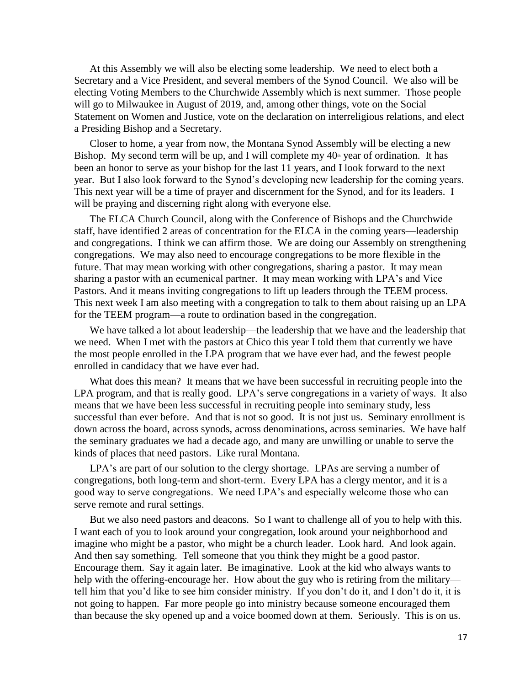At this Assembly we will also be electing some leadership. We need to elect both a Secretary and a Vice President, and several members of the Synod Council. We also will be electing Voting Members to the Churchwide Assembly which is next summer. Those people will go to Milwaukee in August of 2019, and, among other things, vote on the Social Statement on Women and Justice, vote on the declaration on interreligious relations, and elect a Presiding Bishop and a Secretary.

Closer to home, a year from now, the Montana Synod Assembly will be electing a new Bishop. My second term will be up, and I will complete my  $40<sup>th</sup>$  year of ordination. It has been an honor to serve as your bishop for the last 11 years, and I look forward to the next year. But I also look forward to the Synod's developing new leadership for the coming years. This next year will be a time of prayer and discernment for the Synod, and for its leaders. I will be praying and discerning right along with everyone else.

The ELCA Church Council, along with the Conference of Bishops and the Churchwide staff, have identified 2 areas of concentration for the ELCA in the coming years—leadership and congregations. I think we can affirm those. We are doing our Assembly on strengthening congregations. We may also need to encourage congregations to be more flexible in the future. That may mean working with other congregations, sharing a pastor. It may mean sharing a pastor with an ecumenical partner. It may mean working with LPA's and Vice Pastors. And it means inviting congregations to lift up leaders through the TEEM process. This next week I am also meeting with a congregation to talk to them about raising up an LPA for the TEEM program—a route to ordination based in the congregation.

We have talked a lot about leadership—the leadership that we have and the leadership that we need. When I met with the pastors at Chico this year I told them that currently we have the most people enrolled in the LPA program that we have ever had, and the fewest people enrolled in candidacy that we have ever had.

What does this mean? It means that we have been successful in recruiting people into the LPA program, and that is really good. LPA's serve congregations in a variety of ways. It also means that we have been less successful in recruiting people into seminary study, less successful than ever before. And that is not so good. It is not just us. Seminary enrollment is down across the board, across synods, across denominations, across seminaries. We have half the seminary graduates we had a decade ago, and many are unwilling or unable to serve the kinds of places that need pastors. Like rural Montana.

LPA's are part of our solution to the clergy shortage. LPAs are serving a number of congregations, both long-term and short-term. Every LPA has a clergy mentor, and it is a good way to serve congregations. We need LPA's and especially welcome those who can serve remote and rural settings.

But we also need pastors and deacons. So I want to challenge all of you to help with this. I want each of you to look around your congregation, look around your neighborhood and imagine who might be a pastor, who might be a church leader. Look hard. And look again. And then say something. Tell someone that you think they might be a good pastor. Encourage them. Say it again later. Be imaginative. Look at the kid who always wants to help with the offering-encourage her. How about the guy who is retiring from the military tell him that you'd like to see him consider ministry. If you don't do it, and I don't do it, it is not going to happen. Far more people go into ministry because someone encouraged them than because the sky opened up and a voice boomed down at them. Seriously. This is on us.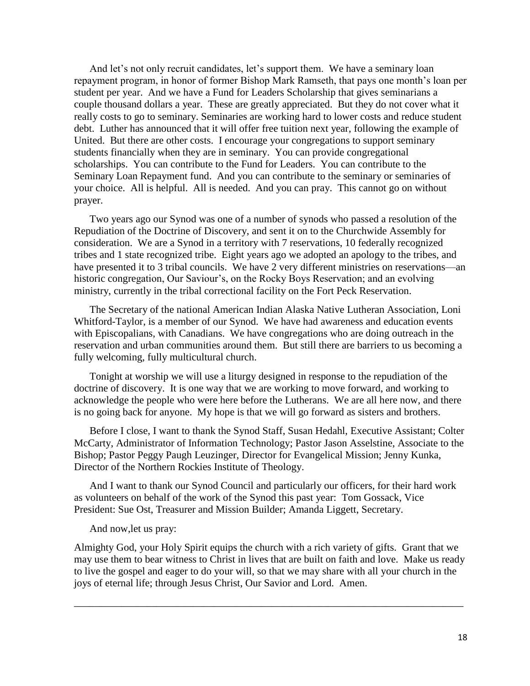And let's not only recruit candidates, let's support them. We have a seminary loan repayment program, in honor of former Bishop Mark Ramseth, that pays one month's loan per student per year. And we have a Fund for Leaders Scholarship that gives seminarians a couple thousand dollars a year. These are greatly appreciated. But they do not cover what it really costs to go to seminary. Seminaries are working hard to lower costs and reduce student debt. Luther has announced that it will offer free tuition next year, following the example of United. But there are other costs. I encourage your congregations to support seminary students financially when they are in seminary. You can provide congregational scholarships. You can contribute to the Fund for Leaders. You can contribute to the Seminary Loan Repayment fund. And you can contribute to the seminary or seminaries of your choice. All is helpful. All is needed. And you can pray. This cannot go on without prayer.

Two years ago our Synod was one of a number of synods who passed a resolution of the Repudiation of the Doctrine of Discovery, and sent it on to the Churchwide Assembly for consideration. We are a Synod in a territory with 7 reservations, 10 federally recognized tribes and 1 state recognized tribe. Eight years ago we adopted an apology to the tribes, and have presented it to 3 tribal councils. We have 2 very different ministries on reservations—an historic congregation, Our Saviour's, on the Rocky Boys Reservation; and an evolving ministry, currently in the tribal correctional facility on the Fort Peck Reservation.

The Secretary of the national American Indian Alaska Native Lutheran Association, Loni Whitford-Taylor, is a member of our Synod. We have had awareness and education events with Episcopalians, with Canadians. We have congregations who are doing outreach in the reservation and urban communities around them. But still there are barriers to us becoming a fully welcoming, fully multicultural church.

Tonight at worship we will use a liturgy designed in response to the repudiation of the doctrine of discovery. It is one way that we are working to move forward, and working to acknowledge the people who were here before the Lutherans. We are all here now, and there is no going back for anyone. My hope is that we will go forward as sisters and brothers.

Before I close, I want to thank the Synod Staff, Susan Hedahl, Executive Assistant; Colter McCarty, Administrator of Information Technology; Pastor Jason Asselstine, Associate to the Bishop; Pastor Peggy Paugh Leuzinger, Director for Evangelical Mission; Jenny Kunka, Director of the Northern Rockies Institute of Theology.

And I want to thank our Synod Council and particularly our officers, for their hard work as volunteers on behalf of the work of the Synod this past year: Tom Gossack, Vice President: Sue Ost, Treasurer and Mission Builder; Amanda Liggett, Secretary.

And now,let us pray:

Almighty God, your Holy Spirit equips the church with a rich variety of gifts. Grant that we may use them to bear witness to Christ in lives that are built on faith and love. Make us ready to live the gospel and eager to do your will, so that we may share with all your church in the joys of eternal life; through Jesus Christ, Our Savior and Lord. Amen.

\_\_\_\_\_\_\_\_\_\_\_\_\_\_\_\_\_\_\_\_\_\_\_\_\_\_\_\_\_\_\_\_\_\_\_\_\_\_\_\_\_\_\_\_\_\_\_\_\_\_\_\_\_\_\_\_\_\_\_\_\_\_\_\_\_\_\_\_\_\_\_\_\_\_\_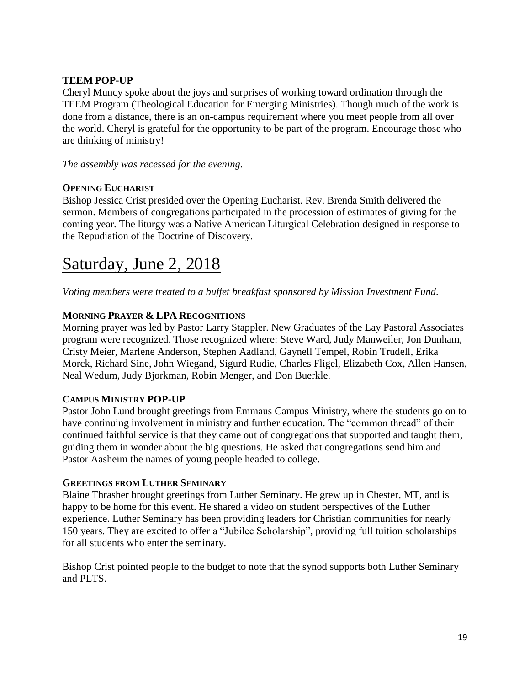#### **TEEM POP-UP**

Cheryl Muncy spoke about the joys and surprises of working toward ordination through the TEEM Program (Theological Education for Emerging Ministries). Though much of the work is done from a distance, there is an on-campus requirement where you meet people from all over the world. Cheryl is grateful for the opportunity to be part of the program. Encourage those who are thinking of ministry!

*The assembly was recessed for the evening.*

#### **OPENING EUCHARIST**

Bishop Jessica Crist presided over the Opening Eucharist. Rev. Brenda Smith delivered the sermon. Members of congregations participated in the procession of estimates of giving for the coming year. The liturgy was a Native American Liturgical Celebration designed in response to the Repudiation of the Doctrine of Discovery.

# Saturday, June 2, 2018

*Voting members were treated to a buffet breakfast sponsored by Mission Investment Fund.*

#### **MORNING PRAYER & LPA RECOGNITIONS**

Morning prayer was led by Pastor Larry Stappler. New Graduates of the Lay Pastoral Associates program were recognized. Those recognized where: Steve Ward, Judy Manweiler, Jon Dunham, Cristy Meier, Marlene Anderson, Stephen Aadland, Gaynell Tempel, Robin Trudell, Erika Morck, Richard Sine, John Wiegand, Sigurd Rudie, Charles Fligel, Elizabeth Cox, Allen Hansen, Neal Wedum, Judy Bjorkman, Robin Menger, and Don Buerkle.

#### **CAMPUS MINISTRY POP-UP**

Pastor John Lund brought greetings from Emmaus Campus Ministry, where the students go on to have continuing involvement in ministry and further education. The "common thread" of their continued faithful service is that they came out of congregations that supported and taught them, guiding them in wonder about the big questions. He asked that congregations send him and Pastor Aasheim the names of young people headed to college.

#### **GREETINGS FROM LUTHER SEMINARY**

Blaine Thrasher brought greetings from Luther Seminary. He grew up in Chester, MT, and is happy to be home for this event. He shared a video on student perspectives of the Luther experience. Luther Seminary has been providing leaders for Christian communities for nearly 150 years. They are excited to offer a "Jubilee Scholarship", providing full tuition scholarships for all students who enter the seminary.

Bishop Crist pointed people to the budget to note that the synod supports both Luther Seminary and PLTS.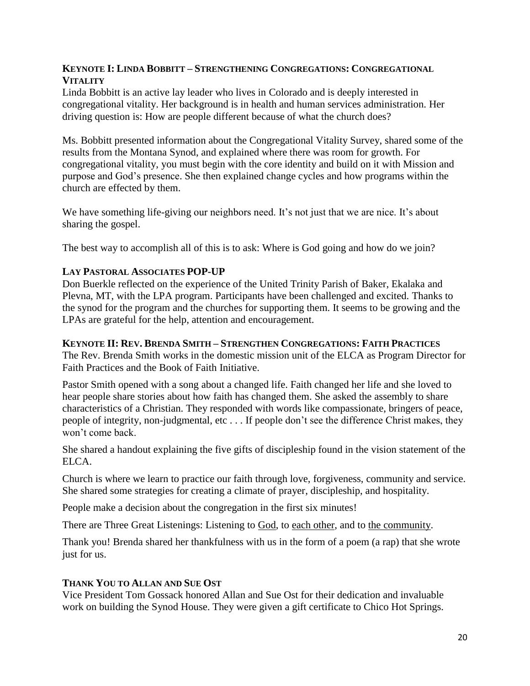#### **KEYNOTE I: LINDA BOBBITT – STRENGTHENING CONGREGATIONS: CONGREGATIONAL VITALITY**

Linda Bobbitt is an active lay leader who lives in Colorado and is deeply interested in congregational vitality. Her background is in health and human services administration. Her driving question is: How are people different because of what the church does?

Ms. Bobbitt presented information about the Congregational Vitality Survey, shared some of the results from the Montana Synod, and explained where there was room for growth. For congregational vitality, you must begin with the core identity and build on it with Mission and purpose and God's presence. She then explained change cycles and how programs within the church are effected by them.

We have something life-giving our neighbors need. It's not just that we are nice. It's about sharing the gospel.

The best way to accomplish all of this is to ask: Where is God going and how do we join?

#### **LAY PASTORAL ASSOCIATES POP-UP**

Don Buerkle reflected on the experience of the United Trinity Parish of Baker, Ekalaka and Plevna, MT, with the LPA program. Participants have been challenged and excited. Thanks to the synod for the program and the churches for supporting them. It seems to be growing and the LPAs are grateful for the help, attention and encouragement.

#### **KEYNOTE II: REV. BRENDA SMITH – STRENGTHEN CONGREGATIONS: FAITH PRACTICES**

The Rev. Brenda Smith works in the domestic mission unit of the ELCA as Program Director for Faith Practices and the Book of Faith Initiative.

Pastor Smith opened with a song about a changed life. Faith changed her life and she loved to hear people share stories about how faith has changed them. She asked the assembly to share characteristics of a Christian. They responded with words like compassionate, bringers of peace, people of integrity, non-judgmental, etc . . . If people don't see the difference Christ makes, they won't come back.

She shared a handout explaining the five gifts of discipleship found in the vision statement of the ELCA.

Church is where we learn to practice our faith through love, forgiveness, community and service. She shared some strategies for creating a climate of prayer, discipleship, and hospitality.

People make a decision about the congregation in the first six minutes!

There are Three Great Listenings: Listening to God, to each other, and to the community.

Thank you! Brenda shared her thankfulness with us in the form of a poem (a rap) that she wrote just for us.

#### **THANK YOU TO ALLAN AND SUE OST**

Vice President Tom Gossack honored Allan and Sue Ost for their dedication and invaluable work on building the Synod House. They were given a gift certificate to Chico Hot Springs.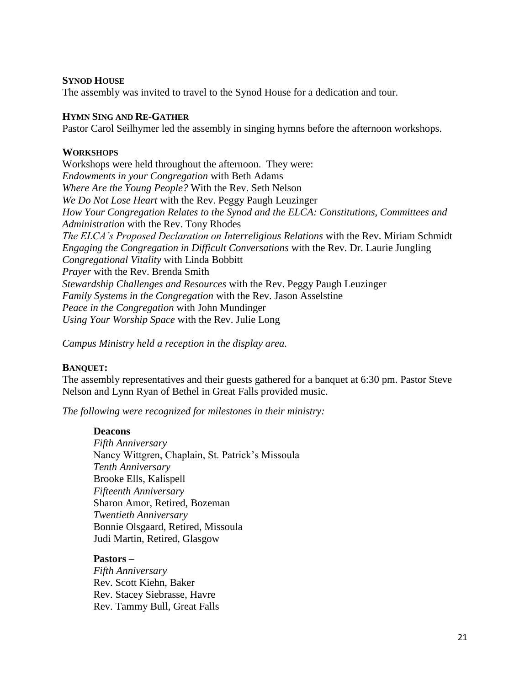#### **SYNOD HOUSE**

The assembly was invited to travel to the Synod House for a dedication and tour.

#### **HYMN SING AND RE-GATHER**

Pastor Carol Seilhymer led the assembly in singing hymns before the afternoon workshops.

#### **WORKSHOPS**

Workshops were held throughout the afternoon. They were: *Endowments in your Congregation* with Beth Adams *Where Are the Young People?* With the Rev. Seth Nelson *We Do Not Lose Heart* with the Rev. Peggy Paugh Leuzinger *How Your Congregation Relates to the Synod and the ELCA: Constitutions, Committees and Administration* with the Rev. Tony Rhodes *The ELCA's Proposed Declaration on Interreligious Relations* with the Rev. Miriam Schmidt *Engaging the Congregation in Difficult Conversations* with the Rev. Dr. Laurie Jungling *Congregational Vitality* with Linda Bobbitt *Prayer* with the Rev. Brenda Smith *Stewardship Challenges and Resources* with the Rev. Peggy Paugh Leuzinger *Family Systems in the Congregation* with the Rev. Jason Asselstine *Peace in the Congregation* with John Mundinger *Using Your Worship Space* with the Rev. Julie Long

*Campus Ministry held a reception in the display area.*

#### **BANQUET:**

The assembly representatives and their guests gathered for a banquet at 6:30 pm. Pastor Steve Nelson and Lynn Ryan of Bethel in Great Falls provided music.

*The following were recognized for milestones in their ministry:*

#### **Deacons**

*Fifth Anniversary* Nancy Wittgren, Chaplain, St. Patrick's Missoula *Tenth Anniversary* Brooke Ells, Kalispell *Fifteenth Anniversary* Sharon Amor, Retired, Bozeman *Twentieth Anniversary* Bonnie Olsgaard, Retired, Missoula Judi Martin, Retired, Glasgow

#### **Pastors** –

*Fifth Anniversary* Rev. Scott Kiehn, Baker Rev. Stacey Siebrasse, Havre Rev. Tammy Bull, Great Falls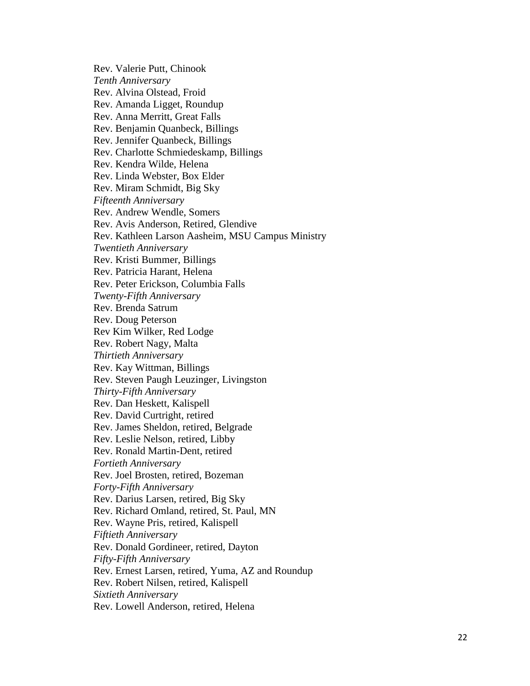Rev. Valerie Putt, Chinook *Tenth Anniversary* Rev. Alvina Olstead, Froid Rev. Amanda Ligget, Roundup Rev. Anna Merritt, Great Falls Rev. Benjamin Quanbeck, Billings Rev. Jennifer Quanbeck, Billings Rev. Charlotte Schmiedeskamp, Billings Rev. Kendra Wilde, Helena Rev. Linda Webster, Box Elder Rev. Miram Schmidt, Big Sky *Fifteenth Anniversary* Rev. Andrew Wendle, Somers Rev. Avis Anderson, Retired, Glendive Rev. Kathleen Larson Aasheim, MSU Campus Ministry *Twentieth Anniversary* Rev. Kristi Bummer, Billings Rev. Patricia Harant, Helena Rev. Peter Erickson, Columbia Falls *Twenty -Fifth Anniversary*  Rev. Brenda Satrum Rev. Doug Peterson Rev Kim Wilker, Red Lodge Rev. Robert Nagy, Malta *Thirtieth Anniversary* Rev. Kay Wittman, Billings Rev. Steven Paugh Leuzinger, Livingston *Thirty -Fifth Anniversary* Rev. Dan Heskett, Kalispell Rev. David Curtright, retired Rev. James Sheldon, retired, Belgrade Rev. Leslie Nelson, retired, Libby Rev. Ronald Martin -Dent, retired *Fortieth Anniversary* Rev. Joel Brosten, retired, Bozeman *Forty -Fifth Anniversary* Rev. Darius Larsen, retired, Big Sky Rev. Richard Omland, retired, St. Paul, MN Rev. Wayne Pris, retired, Kalispell *Fiftieth Anniversary*  Rev. Donald Gordineer, retired, Dayton *Fifty -Fifth Anniversary* Rev. Ernest Larsen, retired, Yuma, AZ and Roundup Rev. Robert Nilsen, retired, Kalispell *Sixtieth Anniversary*  Rev. Lowell Anderson, retired, Helena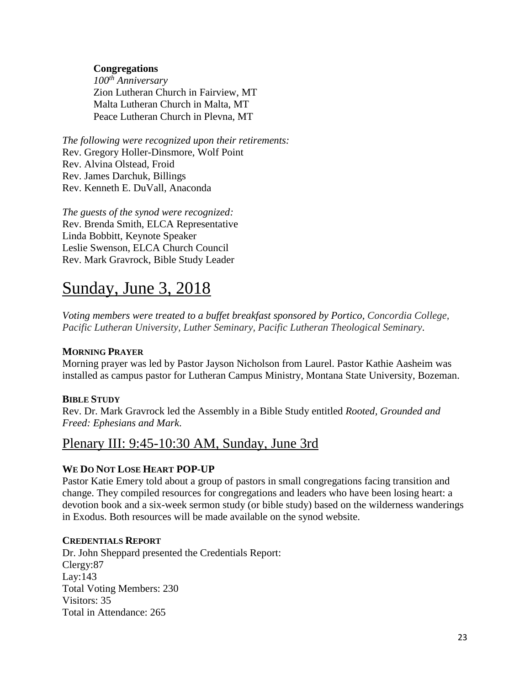#### **Congregations**

*100th Anniversary* Zion Lutheran Church in Fairview, MT Malta Lutheran Church in Malta, MT Peace Lutheran Church in Plevna, MT

*The following were recognized upon their retirements:* Rev. Gregory Holler-Dinsmore, Wolf Point Rev. Alvina Olstead, Froid Rev. James Darchuk, Billings Rev. Kenneth E. DuVall, Anaconda

*The guests of the synod were recognized:* Rev. Brenda Smith, ELCA Representative Linda Bobbitt, Keynote Speaker Leslie Swenson, ELCA Church Council Rev. Mark Gravrock, Bible Study Leader

# Sunday, June 3, 2018

*Voting members were treated to a buffet breakfast sponsored by Portico, Concordia College, Pacific Lutheran University, Luther Seminary, Pacific Lutheran Theological Seminary.*

#### **MORNING PRAYER**

Morning prayer was led by Pastor Jayson Nicholson from Laurel. Pastor Kathie Aasheim was installed as campus pastor for Lutheran Campus Ministry, Montana State University, Bozeman.

#### **BIBLE STUDY**

Rev. Dr. Mark Gravrock led the Assembly in a Bible Study entitled *Rooted, Grounded and Freed: Ephesians and Mark*.

### Plenary III: 9:45-10:30 AM, Sunday, June 3rd

#### **WE DO NOT LOSE HEART POP-UP**

Pastor Katie Emery told about a group of pastors in small congregations facing transition and change. They compiled resources for congregations and leaders who have been losing heart: a devotion book and a six-week sermon study (or bible study) based on the wilderness wanderings in Exodus. Both resources will be made available on the synod website.

#### **CREDENTIALS REPORT**

Dr. John Sheppard presented the Credentials Report: Clergy:87 Lay:143 Total Voting Members: 230 Visitors: 35 Total in Attendance: 265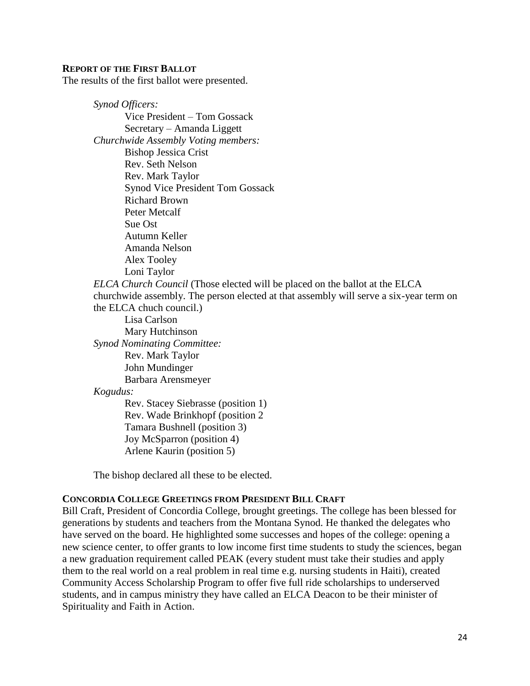#### **REPORT OF THE FIRST BALLOT**

The results of the first ballot were presented.

*Synod Officers:* Vice President – Tom Gossack Secretary – Amanda Liggett *Churchwide Assembly Voting members:* Bishop Jessica Crist Rev. Seth Nelson Rev. Mark Taylor Synod Vice President Tom Gossack Richard Brown Peter Metcalf Sue Ost Autumn Keller Amanda Nelson Alex Tooley Loni Taylor *ELCA Church Council* (Those elected will be placed on the ballot at the ELCA churchwide assembly. The person elected at that assembly will serve a six-year term on the ELCA chuch council.) Lisa Carlson Mary Hutchinson *Synod Nominating Committee:* Rev. Mark Taylor John Mundinger Barbara Arensmeyer *Kogudus:* Rev. Stacey Siebrasse (position 1) Rev. Wade Brinkhopf (position 2 Tamara Bushnell (position 3) Joy McSparron (position 4) Arlene Kaurin (position 5)

The bishop declared all these to be elected.

#### **CONCORDIA COLLEGE GREETINGS FROM PRESIDENT BILL CRAFT**

Bill Craft, President of Concordia College, brought greetings. The college has been blessed for generations by students and teachers from the Montana Synod. He thanked the delegates who have served on the board. He highlighted some successes and hopes of the college: opening a new science center, to offer grants to low income first time students to study the sciences, began a new graduation requirement called PEAK (every student must take their studies and apply them to the real world on a real problem in real time e.g. nursing students in Haiti), created Community Access Scholarship Program to offer five full ride scholarships to underserved students, and in campus ministry they have called an ELCA Deacon to be their minister of Spirituality and Faith in Action.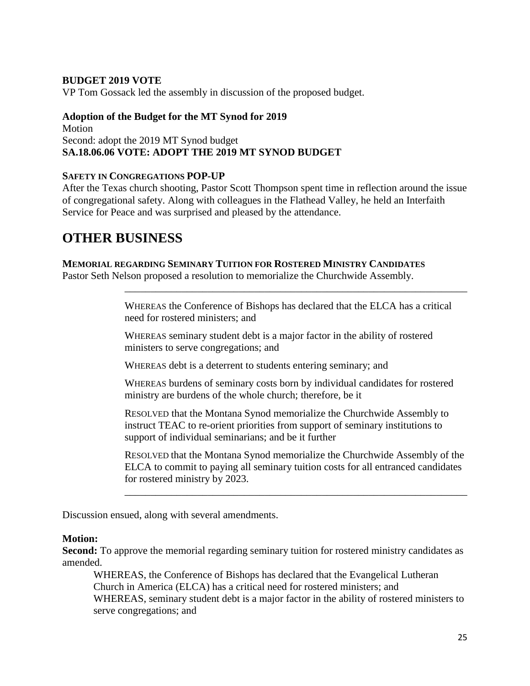#### **BUDGET 2019 VOTE**

VP Tom Gossack led the assembly in discussion of the proposed budget.

#### **Adoption of the Budget for the MT Synod for 2019**  Motion Second: adopt the 2019 MT Synod budget

### **SA.18.06.06 VOTE: ADOPT THE 2019 MT SYNOD BUDGET**

#### **SAFETY IN CONGREGATIONS POP-UP**

After the Texas church shooting, Pastor Scott Thompson spent time in reflection around the issue of congregational safety. Along with colleagues in the Flathead Valley, he held an Interfaith Service for Peace and was surprised and pleased by the attendance.

## **OTHER BUSINESS**

#### **MEMORIAL REGARDING SEMINARY TUITION FOR ROSTERED MINISTRY CANDIDATES**

Pastor Seth Nelson proposed a resolution to memorialize the Churchwide Assembly.

WHEREAS the Conference of Bishops has declared that the ELCA has a critical need for rostered ministers; and

\_\_\_\_\_\_\_\_\_\_\_\_\_\_\_\_\_\_\_\_\_\_\_\_\_\_\_\_\_\_\_\_\_\_\_\_\_\_\_\_\_\_\_\_\_\_\_\_\_\_\_\_\_\_\_\_\_\_\_\_\_\_\_\_\_\_

WHEREAS seminary student debt is a major factor in the ability of rostered ministers to serve congregations; and

WHEREAS debt is a deterrent to students entering seminary; and

WHEREAS burdens of seminary costs born by individual candidates for rostered ministry are burdens of the whole church; therefore, be it

RESOLVED that the Montana Synod memorialize the Churchwide Assembly to instruct TEAC to re-orient priorities from support of seminary institutions to support of individual seminarians; and be it further

RESOLVED that the Montana Synod memorialize the Churchwide Assembly of the ELCA to commit to paying all seminary tuition costs for all entranced candidates for rostered ministry by 2023.

\_\_\_\_\_\_\_\_\_\_\_\_\_\_\_\_\_\_\_\_\_\_\_\_\_\_\_\_\_\_\_\_\_\_\_\_\_\_\_\_\_\_\_\_\_\_\_\_\_\_\_\_\_\_\_\_\_\_\_\_\_\_\_\_\_\_

Discussion ensued, along with several amendments.

#### **Motion:**

**Second:** To approve the memorial regarding seminary tuition for rostered ministry candidates as amended.

WHEREAS, the Conference of Bishops has declared that the Evangelical Lutheran Church in America (ELCA) has a critical need for rostered ministers; and WHEREAS, seminary student debt is a major factor in the ability of rostered ministers to serve congregations; and